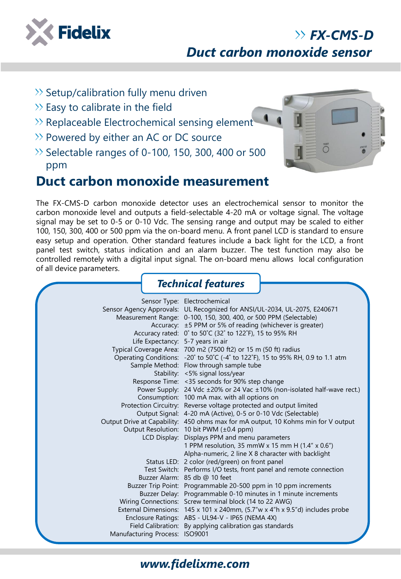

# *Duct carbon monoxide sensor*

- $\gg$  Setup/calibration fully menu driven
- $\gg$  Easy to calibrate in the field
- >> Replaceable Electrochemical sensing element
- $\gg$  Powered by either an AC or DC source
- $\gg$  Selectable ranges of 0-100, 150, 300, 400 or 500 ppm

## **Duct carbon monoxide measurement**

The FX-CMS-D carbon monoxide detector uses an electrochemical sensor to monitor the carbon monoxide level and outputs a field-selectable 4-20 mA or voltage signal. The voltage signal may be set to 0-5 or 0-10 Vdc. The sensing range and output may be scaled to either 100, 150, 300, 400 or 500 ppm via the on-board menu. A front panel LCD is standard to ensure easy setup and operation. Other standard features include a back light for the LCD, a front panel test switch, status indication and an alarm buzzer. The test function may also be controlled remotely with a digital input signal. The on-board menu allows local configuration of all device parameters.

|                                   | <b>Technical features</b>                                                                                                                                                                                                                                                                                                                                                                                                                                                                                                                                                                                                                                                                                                                                                                                                                                                                                                                                                                                                                                                                                                                                                                                                                                                                                                                                                                                                                                                                                                                                                                          |
|-----------------------------------|----------------------------------------------------------------------------------------------------------------------------------------------------------------------------------------------------------------------------------------------------------------------------------------------------------------------------------------------------------------------------------------------------------------------------------------------------------------------------------------------------------------------------------------------------------------------------------------------------------------------------------------------------------------------------------------------------------------------------------------------------------------------------------------------------------------------------------------------------------------------------------------------------------------------------------------------------------------------------------------------------------------------------------------------------------------------------------------------------------------------------------------------------------------------------------------------------------------------------------------------------------------------------------------------------------------------------------------------------------------------------------------------------------------------------------------------------------------------------------------------------------------------------------------------------------------------------------------------------|
| Life Expectancy: 5-7 years in air | Sensor Type: Electrochemical<br>Sensor Agency Approvals: UL Recognized for ANSI/UL-2034, UL-2075, E240671<br>Measurement Range: 0-100, 150, 300, 400, or 500 PPM (Selectable)<br>Accuracy: ±5 PPM or 5% of reading (whichever is greater)<br>Accuracy rated: 0° to 50°C (32° to 122°F), 15 to 95% RH<br>Typical Coverage Area: 700 m2 (7500 ft2) or 15 m (50 ft) radius<br>Operating Conditions: -20° to 50°C (-4° to 122°F), 15 to 95% RH, 0.9 to 1.1 atm<br>Sample Method: Flow through sample tube<br>Stability: <5% signal loss/year<br>Response Time: < 35 seconds for 90% step change<br>Power Supply: 24 Vdc ±20% or 24 Vac ±10% (non-isolated half-wave rect.)<br>Consumption: 100 mA max. with all options on<br>Protection Circuitry: Reverse voltage protected and output limited<br>Output Signal: 4-20 mA (Active), 0-5 or 0-10 Vdc (Selectable)<br>Output Drive at Capability: 450 ohms max for mA output, 10 Kohms min for V output<br>Output Resolution: 10 bit PWM (±0.4 ppm)<br>LCD Display: Displays PPM and menu parameters<br>1 PPM resolution, 35 mmW x 15 mm H (1.4" x 0.6")<br>Alpha-numeric, 2 line X 8 character with backlight<br>Status LED: 2 color (red/green) on front panel<br>Test Switch: Performs I/O tests, front panel and remote connection<br>Buzzer Alarm: 85 db @ 10 feet<br>Buzzer Trip Point: Programmable 20-500 ppm in 10 ppm increments<br>Buzzer Delay: Programmable 0-10 minutes in 1 minute increments<br>Wiring Connections: Screw terminal block (14 to 22 AWG)<br>External Dimensions: 145 x 101 x 240mm, (5.7"w x 4"h x 9.5"d) includes probe |
| Manufacturing Process: ISO9001    | Enclosure Ratings: ABS - UL94-V - IP65 (NEMA 4X)<br>Field Calibration: By applying calibration gas standards                                                                                                                                                                                                                                                                                                                                                                                                                                                                                                                                                                                                                                                                                                                                                                                                                                                                                                                                                                                                                                                                                                                                                                                                                                                                                                                                                                                                                                                                                       |



*FX-CMS-D*

### *www.fidelixme.com*